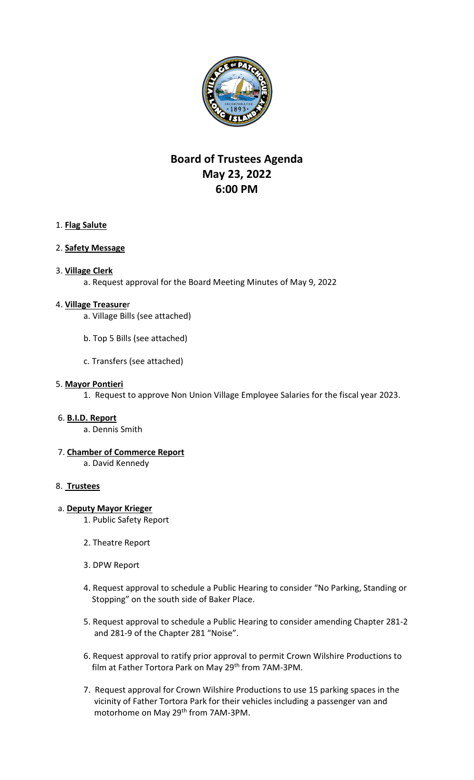

# **Board of Trustees Agenda May 23, 2022 6:00 PM**

# 1. **Flag Salute**

# 2. **Safety Message**

# 3. **Village Clerk**

a. Request approval for the Board Meeting Minutes of May 9, 2022

### 4. **Village Treasure**r

- a. Village Bills (see attached)
- b. Top 5 Bills (see attached)
- c. Transfers (see attached)

### 5. **Mayor Pontieri**

1. Request to approve Non Union Village Employee Salaries for the fiscal year 2023.

### 6. **B.I.D. Report**

a. Dennis Smith

 7. **Chamber of Commerce Report** a. David Kennedy

### 8. **Trustees**

### a. **Deputy Mayor Krieger**

1. Public Safety Report

- 2. Theatre Report
- 3. DPW Report
- 4. Request approval to schedule a Public Hearing to consider "No Parking, Standing or Stopping" on the south side of Baker Place.
- 5. Request approval to schedule a Public Hearing to consider amending Chapter 281-2 and 281-9 of the Chapter 281 "Noise".
- 6. Request approval to ratify prior approval to permit Crown Wilshire Productions to film at Father Tortora Park on May 29<sup>th</sup> from 7AM-3PM.
- 7. Request approval for Crown Wilshire Productions to use 15 parking spaces in the vicinity of Father Tortora Park for their vehicles including a passenger van and motorhome on May 29<sup>th</sup> from 7AM-3PM.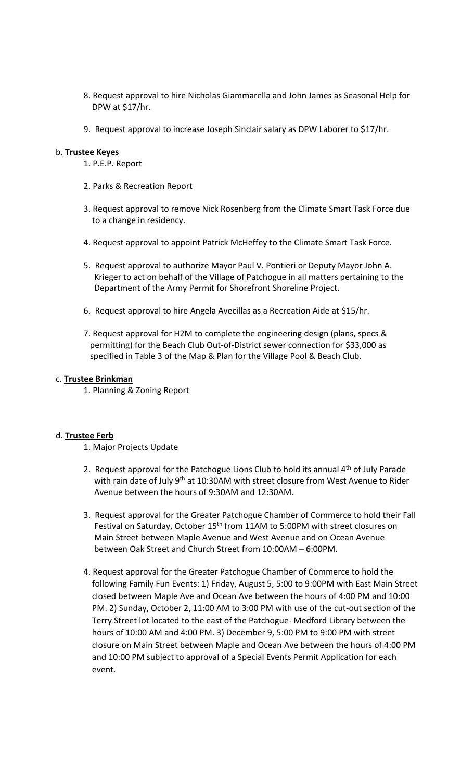- 8. Request approval to hire Nicholas Giammarella and John James as Seasonal Help for DPW at \$17/hr.
- 9. Request approval to increase Joseph Sinclair salary as DPW Laborer to \$17/hr.

#### b. **Trustee Keyes**

1. P.E.P. Report

- 2. Parks & Recreation Report
- 3. Request approval to remove Nick Rosenberg from the Climate Smart Task Force due to a change in residency.
- 4. Request approval to appoint Patrick McHeffey to the Climate Smart Task Force.
- 5. Request approval to authorize Mayor Paul V. Pontieri or Deputy Mayor John A. Krieger to act on behalf of the Village of Patchogue in all matters pertaining to the Department of the Army Permit for Shorefront Shoreline Project.
- 6. Request approval to hire Angela Avecillas as a Recreation Aide at \$15/hr.
- 7. Request approval for H2M to complete the engineering design (plans, specs & permitting) for the Beach Club Out-of-District sewer connection for \$33,000 as specified in Table 3 of the Map & Plan for the Village Pool & Beach Club.

#### c. **Trustee Brinkman**

1. Planning & Zoning Report

### d. **Trustee Ferb**

- 1. Major Projects Update
- 2. Request approval for the Patchogue Lions Club to hold its annual  $4<sup>th</sup>$  of July Parade with rain date of July 9<sup>th</sup> at 10:30AM with street closure from West Avenue to Rider Avenue between the hours of 9:30AM and 12:30AM.
- 3. Request approval for the Greater Patchogue Chamber of Commerce to hold their Fall Festival on Saturday, October 15<sup>th</sup> from 11AM to 5:00PM with street closures on Main Street between Maple Avenue and West Avenue and on Ocean Avenue between Oak Street and Church Street from 10:00AM – 6:00PM.
- 4. Request approval for the Greater Patchogue Chamber of Commerce to hold the following Family Fun Events: 1) Friday, August 5, 5:00 to 9:00PM with East Main Street closed between Maple Ave and Ocean Ave between the hours of 4:00 PM and 10:00 PM. 2) Sunday, October 2, 11:00 AM to 3:00 PM with use of the cut-out section of the Terry Street lot located to the east of the Patchogue- Medford Library between the hours of 10:00 AM and 4:00 PM. 3) December 9, 5:00 PM to 9:00 PM with street closure on Main Street between Maple and Ocean Ave between the hours of 4:00 PM and 10:00 PM subject to approval of a Special Events Permit Application for each event.